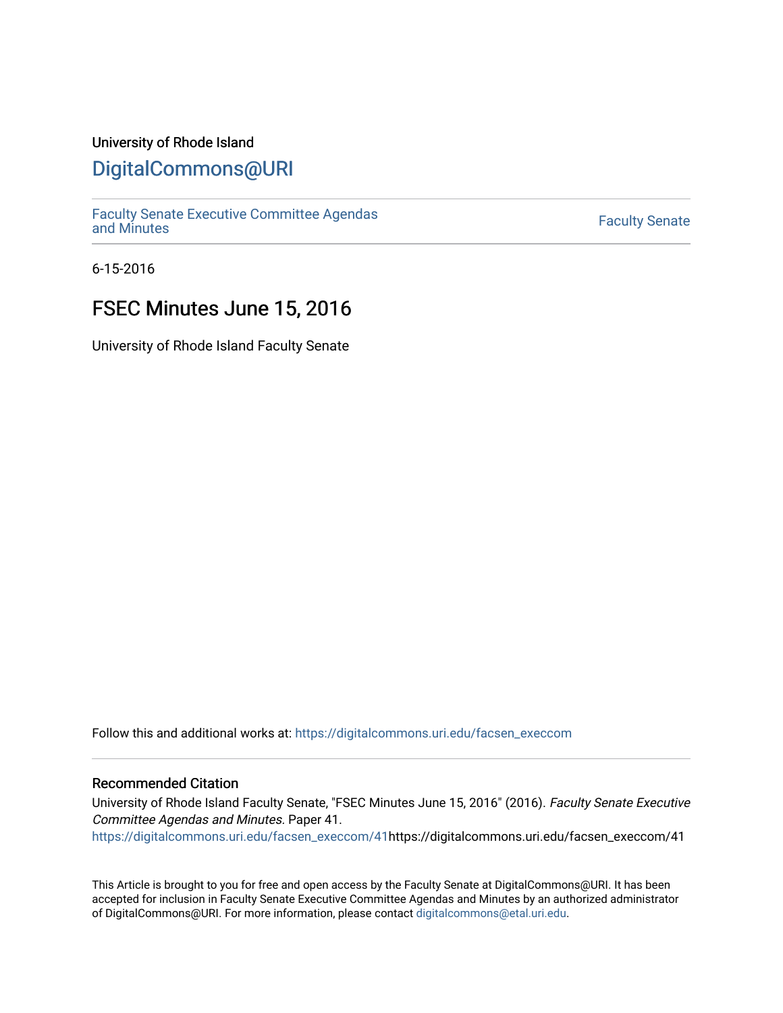### University of Rhode Island

### [DigitalCommons@URI](https://digitalcommons.uri.edu/)

[Faculty Senate Executive Committee Agendas](https://digitalcommons.uri.edu/facsen_execcom)  [and Minutes](https://digitalcommons.uri.edu/facsen_execcom) [Faculty Senate](https://digitalcommons.uri.edu/facsen) 

6-15-2016

## FSEC Minutes June 15, 2016

University of Rhode Island Faculty Senate

Follow this and additional works at: [https://digitalcommons.uri.edu/facsen\\_execcom](https://digitalcommons.uri.edu/facsen_execcom?utm_source=digitalcommons.uri.edu%2Ffacsen_execcom%2F41&utm_medium=PDF&utm_campaign=PDFCoverPages) 

#### Recommended Citation

University of Rhode Island Faculty Senate, "FSEC Minutes June 15, 2016" (2016). Faculty Senate Executive Committee Agendas and Minutes. Paper 41.

[https://digitalcommons.uri.edu/facsen\\_execcom/41h](https://digitalcommons.uri.edu/facsen_execcom/41?utm_source=digitalcommons.uri.edu%2Ffacsen_execcom%2F41&utm_medium=PDF&utm_campaign=PDFCoverPages)ttps://digitalcommons.uri.edu/facsen\_execcom/41

This Article is brought to you for free and open access by the Faculty Senate at DigitalCommons@URI. It has been accepted for inclusion in Faculty Senate Executive Committee Agendas and Minutes by an authorized administrator of DigitalCommons@URI. For more information, please contact [digitalcommons@etal.uri.edu](mailto:digitalcommons@etal.uri.edu).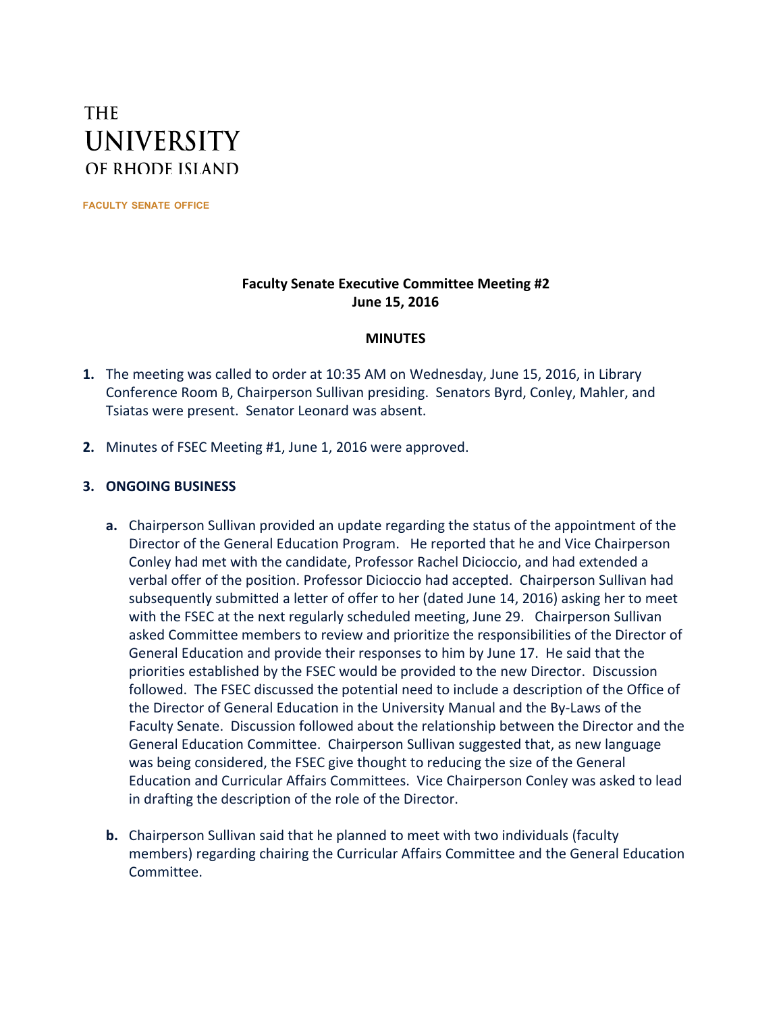# **THE UNIVERSITY** OF RHODE ISLAND

**FACULTY SENATE OFFICE**

### **Faculty Senate Executive Committee Meeting #2 June 15, 2016**

### **MINUTES**

- **1.** The meeting was called to order at 10:35 AM on Wednesday, June 15, 2016, in Library Conference Room B, Chairperson Sullivan presiding. Senators Byrd, Conley, Mahler, and Tsiatas were present. Senator Leonard was absent.
- **2.** Minutes of FSEC Meeting #1, June 1, 2016 were approved.

### **3. ONGOING BUSINESS**

- **a.** Chairperson Sullivan provided an update regarding the status of the appointment of the Director of the General Education Program. He reported that he and Vice Chairperson Conley had met with the candidate, Professor Rachel Dicioccio, and had extended a verbal offer of the position. Professor Dicioccio had accepted. Chairperson Sullivan had subsequently submitted a letter of offer to her (dated June 14, 2016) asking her to meet with the FSEC at the next regularly scheduled meeting, June 29. Chairperson Sullivan asked Committee members to review and prioritize the responsibilities of the Director of General Education and provide their responses to him by June 17. He said that the priorities established by the FSEC would be provided to the new Director. Discussion followed. The FSEC discussed the potential need to include a description of the Office of the Director of General Education in the University Manual and the By-Laws of the Faculty Senate. Discussion followed about the relationship between the Director and the General Education Committee. Chairperson Sullivan suggested that, as new language was being considered, the FSEC give thought to reducing the size of the General Education and Curricular Affairs Committees. Vice Chairperson Conley was asked to lead in drafting the description of the role of the Director.
- **b.** Chairperson Sullivan said that he planned to meet with two individuals (faculty members) regarding chairing the Curricular Affairs Committee and the General Education Committee.